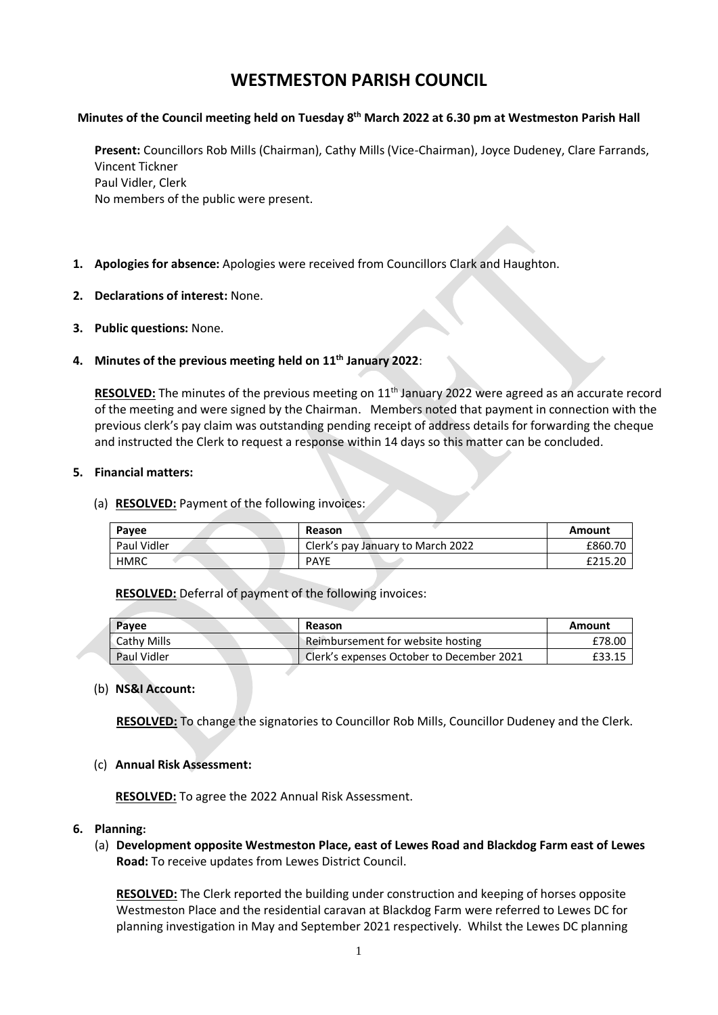# **WESTMESTON PARISH COUNCIL**

# **Minutes of the Council meeting held on Tuesday 8 th March 2022 at 6.30 pm at Westmeston Parish Hall**

**Present:** Councillors Rob Mills (Chairman), Cathy Mills (Vice-Chairman), Joyce Dudeney, Clare Farrands, Vincent Tickner Paul Vidler, Clerk No members of the public were present.

- **1. Apologies for absence:** Apologies were received from Councillors Clark and Haughton.
- **2. Declarations of interest:** None.
- **3. Public questions:** None.

## **4. Minutes of the previous meeting held on 11th January 2022**:

RESOLVED: The minutes of the previous meeting on 11<sup>th</sup> January 2022 were agreed as an accurate record of the meeting and were signed by the Chairman. Members noted that payment in connection with the previous clerk's pay claim was outstanding pending receipt of address details for forwarding the cheque and instructed the Clerk to request a response within 14 days so this matter can be concluded.

#### **5. Financial matters:**

(a) **RESOLVED:** Payment of the following invoices:

| Pavee       | <b>Reason</b>                     | Amount  |
|-------------|-----------------------------------|---------|
| Paul Vidler | Clerk's pay January to March 2022 | £860.70 |
| <b>HMRC</b> | <b>PAYE</b>                       | £215.20 |

**RESOLVED:** Deferral of payment of the following invoices:

| <b>Payee</b>       | Reason                                    | Amount |
|--------------------|-------------------------------------------|--------|
| <b>Cathy Mills</b> | Reimbursement for website hosting         | £78.00 |
| Paul Vidler        | Clerk's expenses October to December 2021 | £33.15 |

## (b) **NS&I Account:**

**RESOLVED:** To change the signatories to Councillor Rob Mills, Councillor Dudeney and the Clerk.

## (c) **Annual Risk Assessment:**

**RESOLVED:** To agree the 2022 Annual Risk Assessment.

## **6. Planning:**

(a) **Development opposite Westmeston Place, east of Lewes Road and Blackdog Farm east of Lewes Road:** To receive updates from Lewes District Council.

**RESOLVED:** The Clerk reported the building under construction and keeping of horses opposite Westmeston Place and the residential caravan at Blackdog Farm were referred to Lewes DC for planning investigation in May and September 2021 respectively. Whilst the Lewes DC planning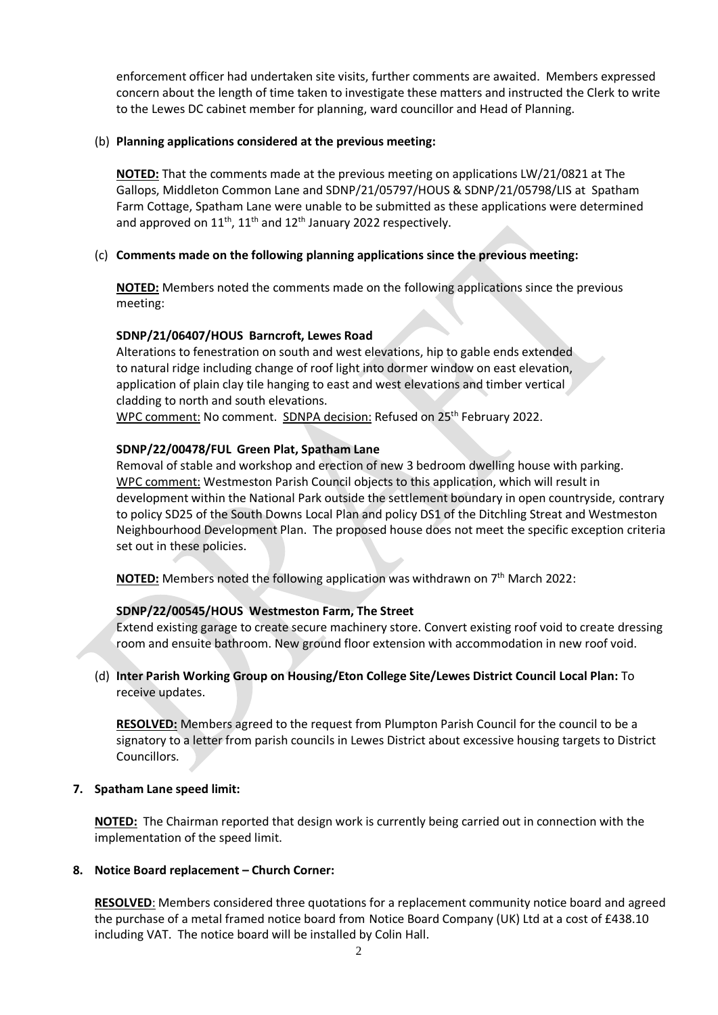enforcement officer had undertaken site visits, further comments are awaited. Members expressed concern about the length of time taken to investigate these matters and instructed the Clerk to write to the Lewes DC cabinet member for planning, ward councillor and Head of Planning.

## (b) **Planning applications considered at the previous meeting:**

**NOTED:** That the comments made at the previous meeting on applications LW/21/0821 at The Gallops, Middleton Common Lane and SDNP/21/05797/HOUS & SDNP/21/05798/LIS at Spatham Farm Cottage, Spatham Lane were unable to be submitted as these applications were determined and approved on  $11^{th}$ ,  $11^{th}$  and  $12^{th}$  January 2022 respectively.

## (c) **Comments made on the following planning applications since the previous meeting:**

**NOTED:** Members noted the comments made on the following applications since the previous meeting:

## **SDNP/21/06407/HOUS Barncroft, Lewes Road**

Alterations to fenestration on south and west elevations, hip to gable ends extended to natural ridge including change of roof light into dormer window on east elevation, application of plain clay tile hanging to east and west elevations and timber vertical cladding to north and south elevations.

WPC comment: No comment. SDNPA decision: Refused on 25<sup>th</sup> February 2022.

## **SDNP/22/00478/FUL Green Plat, Spatham Lane**

Removal of stable and workshop and erection of new 3 bedroom dwelling house with parking. WPC comment: Westmeston Parish Council objects to this application, which will result in development within the National Park outside the settlement boundary in open countryside, contrary to policy SD25 of the South Downs Local Plan and policy DS1 of the Ditchling Streat and Westmeston Neighbourhood Development Plan. The proposed house does not meet the specific exception criteria set out in these policies.

**NOTED:** Members noted the following application was withdrawn on 7<sup>th</sup> March 2022:

# **SDNP/22/00545/HOUS Westmeston Farm, The Street**

Extend existing garage to create secure machinery store. Convert existing roof void to create dressing room and ensuite bathroom. New ground floor extension with accommodation in new roof void.

## (d) **Inter Parish Working Group on Housing/Eton College Site/Lewes District Council Local Plan:** To receive updates.

**RESOLVED:** Members agreed to the request from Plumpton Parish Council for the council to be a signatory to a letter from parish councils in Lewes District about excessive housing targets to District Councillors.

## **7. Spatham Lane speed limit:**

**NOTED:** The Chairman reported that design work is currently being carried out in connection with the implementation of the speed limit.

## **8. Notice Board replacement – Church Corner:**

**RESOLVED**: Members considered three quotations for a replacement community notice board and agreed the purchase of a metal framed notice board from Notice Board Company (UK) Ltd at a cost of £438.10 including VAT. The notice board will be installed by Colin Hall.